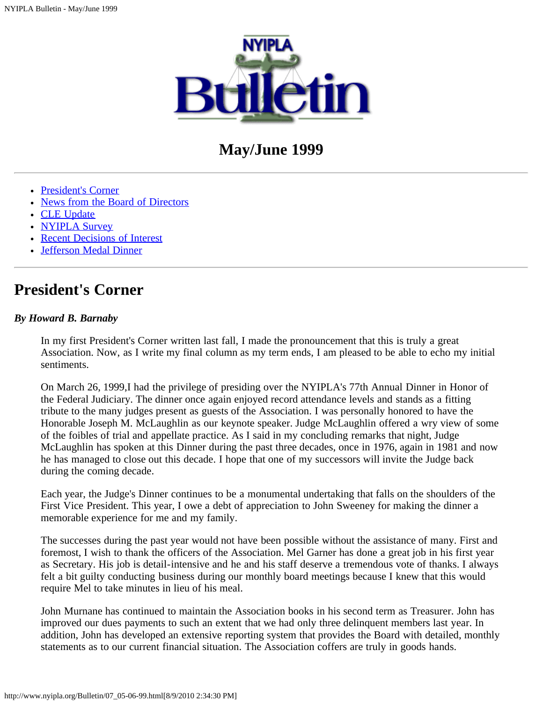

# **May/June 1999**

- [President's Corner](http://www.nyipla.org/Hard%20Disk/Desktop%20Folder/Documents%20/07_05-06-99_copy.html#anchor336287)
- [News from the Board of Directors](http://www.nyipla.org/Hard%20Disk/Desktop%20Folder/Documents%20/07_05-06-99_copy.html#anchor366715)
- [CLE Update](http://www.nyipla.org/Hard%20Disk/Desktop%20Folder/Documents%20/07_05-06-99_copy.html#anchor42842)
- [NYIPLA Survey](http://www.nyipla.org/Hard%20Disk/Desktop%20Folder/Documents%20/07_05-06-99_copy.html#anchor87096)
- [Recent Decisions of Interest](http://www.nyipla.org/Hard%20Disk/Desktop%20Folder/Documents%20/07_05-06-99_copy.html#anchor118977)
- [Jefferson Medal Dinner](#page-9-0)

## **President's Corner**

#### *By Howard B. Barnaby*

In my first President's Corner written last fall, I made the pronouncement that this is truly a great Association. Now, as I write my final column as my term ends, I am pleased to be able to echo my initial sentiments.

On March 26, 1999,I had the privilege of presiding over the NYIPLA's 77th Annual Dinner in Honor of the Federal Judiciary. The dinner once again enjoyed record attendance levels and stands as a fitting tribute to the many judges present as guests of the Association. I was personally honored to have the Honorable Joseph M. McLaughlin as our keynote speaker. Judge McLaughlin offered a wry view of some of the foibles of trial and appellate practice. As I said in my concluding remarks that night, Judge McLaughlin has spoken at this Dinner during the past three decades, once in 1976, again in 1981 and now he has managed to close out this decade. I hope that one of my successors will invite the Judge back during the coming decade.

Each year, the Judge's Dinner continues to be a monumental undertaking that falls on the shoulders of the First Vice President. This year, I owe a debt of appreciation to John Sweeney for making the dinner a memorable experience for me and my family.

The successes during the past year would not have been possible without the assistance of many. First and foremost, I wish to thank the officers of the Association. Mel Garner has done a great job in his first year as Secretary. His job is detail-intensive and he and his staff deserve a tremendous vote of thanks. I always felt a bit guilty conducting business during our monthly board meetings because I knew that this would require Mel to take minutes in lieu of his meal.

John Murnane has continued to maintain the Association books in his second term as Treasurer. John has improved our dues payments to such an extent that we had only three delinquent members last year. In addition, John has developed an extensive reporting system that provides the Board with detailed, monthly statements as to our current financial situation. The Association coffers are truly in goods hands.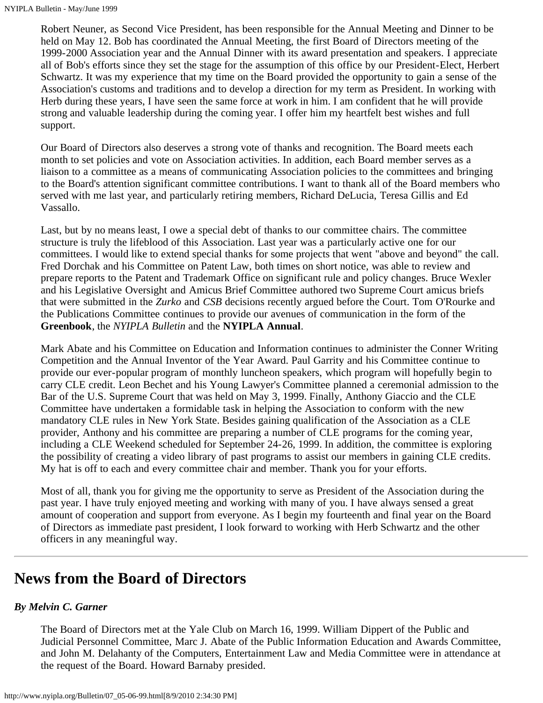Robert Neuner, as Second Vice President, has been responsible for the Annual Meeting and Dinner to be held on May 12. Bob has coordinated the Annual Meeting, the first Board of Directors meeting of the 1999-2000 Association year and the Annual Dinner with its award presentation and speakers. I appreciate all of Bob's efforts since they set the stage for the assumption of this office by our President-Elect, Herbert Schwartz. It was my experience that my time on the Board provided the opportunity to gain a sense of the Association's customs and traditions and to develop a direction for my term as President. In working with Herb during these years, I have seen the same force at work in him. I am confident that he will provide strong and valuable leadership during the coming year. I offer him my heartfelt best wishes and full support.

Our Board of Directors also deserves a strong vote of thanks and recognition. The Board meets each month to set policies and vote on Association activities. In addition, each Board member serves as a liaison to a committee as a means of communicating Association policies to the committees and bringing to the Board's attention significant committee contributions. I want to thank all of the Board members who served with me last year, and particularly retiring members, Richard DeLucia, Teresa Gillis and Ed Vassallo.

Last, but by no means least, I owe a special debt of thanks to our committee chairs. The committee structure is truly the lifeblood of this Association. Last year was a particularly active one for our committees. I would like to extend special thanks for some projects that went "above and beyond" the call. Fred Dorchak and his Committee on Patent Law, both times on short notice, was able to review and prepare reports to the Patent and Trademark Office on significant rule and policy changes. Bruce Wexler and his Legislative Oversight and Amicus Brief Committee authored two Supreme Court amicus briefs that were submitted in the *Zurko* and *CSB* decisions recently argued before the Court. Tom O'Rourke and the Publications Committee continues to provide our avenues of communication in the form of the **Greenbook**, the *NYIPLA Bulletin* and the **NYIPLA Annual**.

Mark Abate and his Committee on Education and Information continues to administer the Conner Writing Competition and the Annual Inventor of the Year Award. Paul Garrity and his Committee continue to provide our ever-popular program of monthly luncheon speakers, which program will hopefully begin to carry CLE credit. Leon Bechet and his Young Lawyer's Committee planned a ceremonial admission to the Bar of the U.S. Supreme Court that was held on May 3, 1999. Finally, Anthony Giaccio and the CLE Committee have undertaken a formidable task in helping the Association to conform with the new mandatory CLE rules in New York State. Besides gaining qualification of the Association as a CLE provider, Anthony and his committee are preparing a number of CLE programs for the coming year, including a CLE Weekend scheduled for September 24-26, 1999. In addition, the committee is exploring the possibility of creating a video library of past programs to assist our members in gaining CLE credits. My hat is off to each and every committee chair and member. Thank you for your efforts.

Most of all, thank you for giving me the opportunity to serve as President of the Association during the past year. I have truly enjoyed meeting and working with many of you. I have always sensed a great amount of cooperation and support from everyone. As I begin my fourteenth and final year on the Board of Directors as immediate past president, I look forward to working with Herb Schwartz and the other officers in any meaningful way.

## **News from the Board of Directors**

## *By Melvin C. Garner*

The Board of Directors met at the Yale Club on March 16, 1999. William Dippert of the Public and Judicial Personnel Committee, Marc J. Abate of the Public Information Education and Awards Committee, and John M. Delahanty of the Computers, Entertainment Law and Media Committee were in attendance at the request of the Board. Howard Barnaby presided.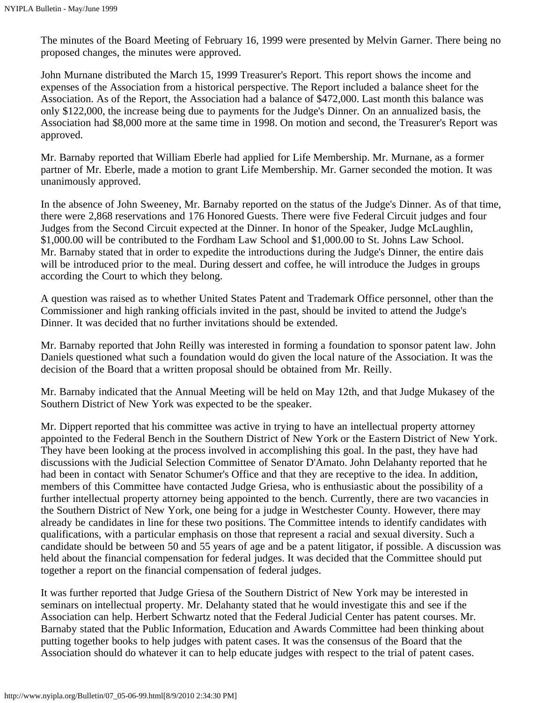The minutes of the Board Meeting of February 16, 1999 were presented by Melvin Garner. There being no proposed changes, the minutes were approved.

John Murnane distributed the March 15, 1999 Treasurer's Report. This report shows the income and expenses of the Association from a historical perspective. The Report included a balance sheet for the Association. As of the Report, the Association had a balance of \$472,000. Last month this balance was only \$122,000, the increase being due to payments for the Judge's Dinner. On an annualized basis, the Association had \$8,000 more at the same time in 1998. On motion and second, the Treasurer's Report was approved.

Mr. Barnaby reported that William Eberle had applied for Life Membership. Mr. Murnane, as a former partner of Mr. Eberle, made a motion to grant Life Membership. Mr. Garner seconded the motion. It was unanimously approved.

In the absence of John Sweeney, Mr. Barnaby reported on the status of the Judge's Dinner. As of that time, there were 2,868 reservations and 176 Honored Guests. There were five Federal Circuit judges and four Judges from the Second Circuit expected at the Dinner. In honor of the Speaker, Judge McLaughlin, \$1,000.00 will be contributed to the Fordham Law School and \$1,000.00 to St. Johns Law School. Mr. Barnaby stated that in order to expedite the introductions during the Judge's Dinner, the entire dais will be introduced prior to the meal. During dessert and coffee, he will introduce the Judges in groups according the Court to which they belong.

A question was raised as to whether United States Patent and Trademark Office personnel, other than the Commissioner and high ranking officials invited in the past, should be invited to attend the Judge's Dinner. It was decided that no further invitations should be extended.

Mr. Barnaby reported that John Reilly was interested in forming a foundation to sponsor patent law. John Daniels questioned what such a foundation would do given the local nature of the Association. It was the decision of the Board that a written proposal should be obtained from Mr. Reilly.

Mr. Barnaby indicated that the Annual Meeting will be held on May 12th, and that Judge Mukasey of the Southern District of New York was expected to be the speaker.

Mr. Dippert reported that his committee was active in trying to have an intellectual property attorney appointed to the Federal Bench in the Southern District of New York or the Eastern District of New York. They have been looking at the process involved in accomplishing this goal. In the past, they have had discussions with the Judicial Selection Committee of Senator D'Amato. John Delahanty reported that he had been in contact with Senator Schumer's Office and that they are receptive to the idea. In addition, members of this Committee have contacted Judge Griesa, who is enthusiastic about the possibility of a further intellectual property attorney being appointed to the bench. Currently, there are two vacancies in the Southern District of New York, one being for a judge in Westchester County. However, there may already be candidates in line for these two positions. The Committee intends to identify candidates with qualifications, with a particular emphasis on those that represent a racial and sexual diversity. Such a candidate should be between 50 and 55 years of age and be a patent litigator, if possible. A discussion was held about the financial compensation for federal judges. It was decided that the Committee should put together a report on the financial compensation of federal judges.

It was further reported that Judge Griesa of the Southern District of New York may be interested in seminars on intellectual property. Mr. Delahanty stated that he would investigate this and see if the Association can help. Herbert Schwartz noted that the Federal Judicial Center has patent courses. Mr. Barnaby stated that the Public Information, Education and Awards Committee had been thinking about putting together books to help judges with patent cases. It was the consensus of the Board that the Association should do whatever it can to help educate judges with respect to the trial of patent cases.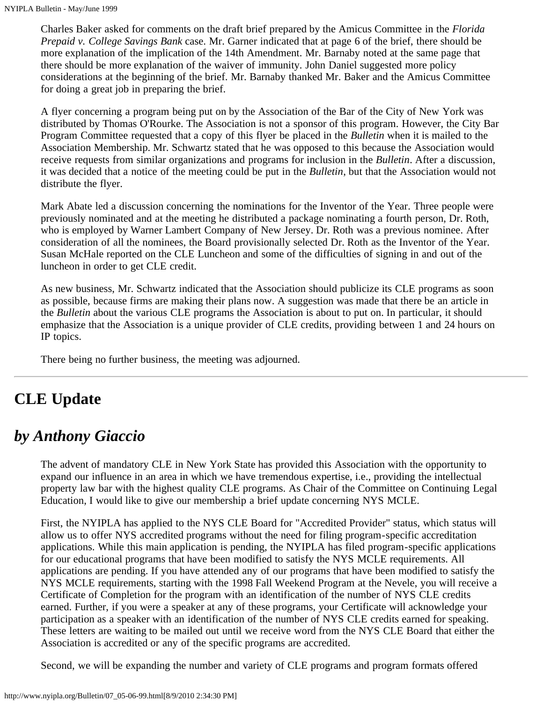Charles Baker asked for comments on the draft brief prepared by the Amicus Committee in the *Florida Prepaid v. College Savings Bank* case. Mr. Garner indicated that at page 6 of the brief, there should be more explanation of the implication of the 14th Amendment. Mr. Barnaby noted at the same page that there should be more explanation of the waiver of immunity. John Daniel suggested more policy considerations at the beginning of the brief. Mr. Barnaby thanked Mr. Baker and the Amicus Committee for doing a great job in preparing the brief.

A flyer concerning a program being put on by the Association of the Bar of the City of New York was distributed by Thomas O'Rourke. The Association is not a sponsor of this program. However, the City Bar Program Committee requested that a copy of this flyer be placed in the *Bulletin* when it is mailed to the Association Membership. Mr. Schwartz stated that he was opposed to this because the Association would receive requests from similar organizations and programs for inclusion in the *Bulletin*. After a discussion, it was decided that a notice of the meeting could be put in the *Bulletin*, but that the Association would not distribute the flyer.

Mark Abate led a discussion concerning the nominations for the Inventor of the Year. Three people were previously nominated and at the meeting he distributed a package nominating a fourth person, Dr. Roth, who is employed by Warner Lambert Company of New Jersey. Dr. Roth was a previous nominee. After consideration of all the nominees, the Board provisionally selected Dr. Roth as the Inventor of the Year. Susan McHale reported on the CLE Luncheon and some of the difficulties of signing in and out of the luncheon in order to get CLE credit.

As new business, Mr. Schwartz indicated that the Association should publicize its CLE programs as soon as possible, because firms are making their plans now. A suggestion was made that there be an article in the *Bulletin* about the various CLE programs the Association is about to put on. In particular, it should emphasize that the Association is a unique provider of CLE credits, providing between 1 and 24 hours on IP topics.

There being no further business, the meeting was adjourned.

# **CLE Update**

## *by Anthony Giaccio*

The advent of mandatory CLE in New York State has provided this Association with the opportunity to expand our influence in an area in which we have tremendous expertise, i.e., providing the intellectual property law bar with the highest quality CLE programs. As Chair of the Committee on Continuing Legal Education, I would like to give our membership a brief update concerning NYS MCLE.

First, the NYIPLA has applied to the NYS CLE Board for "Accredited Provider" status, which status will allow us to offer NYS accredited programs without the need for filing program-specific accreditation applications. While this main application is pending, the NYIPLA has filed program-specific applications for our educational programs that have been modified to satisfy the NYS MCLE requirements. All applications are pending. If you have attended any of our programs that have been modified to satisfy the NYS MCLE requirements, starting with the 1998 Fall Weekend Program at the Nevele, you will receive a Certificate of Completion for the program with an identification of the number of NYS CLE credits earned. Further, if you were a speaker at any of these programs, your Certificate will acknowledge your participation as a speaker with an identification of the number of NYS CLE credits earned for speaking. These letters are waiting to be mailed out until we receive word from the NYS CLE Board that either the Association is accredited or any of the specific programs are accredited.

Second, we will be expanding the number and variety of CLE programs and program formats offered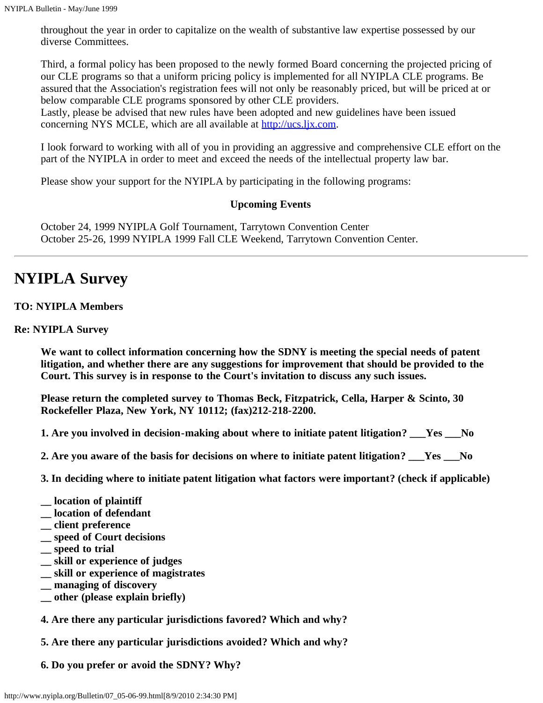throughout the year in order to capitalize on the wealth of substantive law expertise possessed by our diverse Committees.

Third, a formal policy has been proposed to the newly formed Board concerning the projected pricing of our CLE programs so that a uniform pricing policy is implemented for all NYIPLA CLE programs. Be assured that the Association's registration fees will not only be reasonably priced, but will be priced at or below comparable CLE programs sponsored by other CLE providers.

Lastly, please be advised that new rules have been adopted and new guidelines have been issued concerning NYS MCLE, which are all available at [http://ucs.ljx.com](http://ucs.ljx.com/).

I look forward to working with all of you in providing an aggressive and comprehensive CLE effort on the part of the NYIPLA in order to meet and exceed the needs of the intellectual property law bar.

Please show your support for the NYIPLA by participating in the following programs:

## **Upcoming Events**

October 24, 1999 NYIPLA Golf Tournament, Tarrytown Convention Center October 25-26, 1999 NYIPLA 1999 Fall CLE Weekend, Tarrytown Convention Center.

# **NYIPLA Survey**

#### **TO: NYIPLA Members**

#### **Re: NYIPLA Survey**

**We want to collect information concerning how the SDNY is meeting the special needs of patent litigation, and whether there are any suggestions for improvement that should be provided to the Court. This survey is in response to the Court's invitation to discuss any such issues.**

**Please return the completed survey to Thomas Beck, Fitzpatrick, Cella, Harper & Scinto, 30 Rockefeller Plaza, New York, NY 10112; (fax)212-218-2200.**

**1. Are you involved in decision-making about where to initiate patent litigation? \_\_\_Yes \_\_\_No**

**2. Are you aware of the basis for decisions on where to initiate patent litigation? \_\_\_Yes \_\_\_No**

**3. In deciding where to initiate patent litigation what factors were important? (check if applicable)**

- **\_\_ location of plaintiff**
- **\_\_ location of defendant**
- **\_\_ client preference**
- **\_\_ speed of Court decisions**
- **\_\_ speed to trial**
- **\_\_ skill or experience of judges**
- **\_\_ skill or experience of magistrates**
- **\_\_ managing of discovery**
- **\_\_ other (please explain briefly)**

**4. Are there any particular jurisdictions favored? Which and why?**

**5. Are there any particular jurisdictions avoided? Which and why?**

**6. Do you prefer or avoid the SDNY? Why?**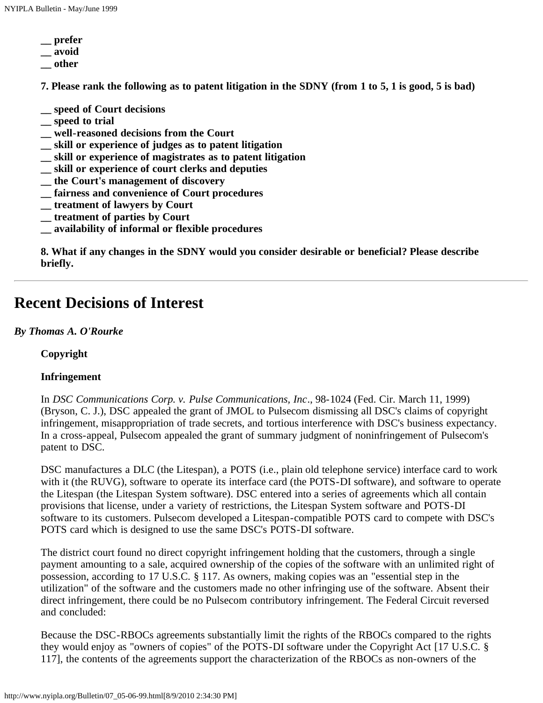- **\_\_ prefer**
- **\_\_ avoid**
- **\_\_ other**

**7. Please rank the following as to patent litigation in the SDNY (from 1 to 5, 1 is good, 5 is bad)**

- **\_\_ speed of Court decisions**
- **\_\_ speed to trial**
- **\_\_ well-reasoned decisions from the Court**
- **\_\_ skill or experience of judges as to patent litigation**
- **\_\_ skill or experience of magistrates as to patent litigation**
- **\_\_ skill or experience of court clerks and deputies**
- **\_\_ the Court's management of discovery**
- **\_\_ fairness and convenience of Court procedures**
- **\_\_ treatment of lawyers by Court**
- **\_\_ treatment of parties by Court**
- **\_\_ availability of informal or flexible procedures**

**8. What if any changes in the SDNY would you consider desirable or beneficial? Please describe briefly.**

## **Recent Decisions of Interest**

#### *By Thomas A. O'Rourke*

**Copyright**

## **Infringement**

In *DSC Communications Corp. v. Pulse Communications, Inc*., 98-1024 (Fed. Cir. March 11, 1999) (Bryson, C. J.), DSC appealed the grant of JMOL to Pulsecom dismissing all DSC's claims of copyright infringement, misappropriation of trade secrets, and tortious interference with DSC's business expectancy. In a cross-appeal, Pulsecom appealed the grant of summary judgment of noninfringement of Pulsecom's patent to DSC.

DSC manufactures a DLC (the Litespan), a POTS (i.e., plain old telephone service) interface card to work with it (the RUVG), software to operate its interface card (the POTS-DI software), and software to operate the Litespan (the Litespan System software). DSC entered into a series of agreements which all contain provisions that license, under a variety of restrictions, the Litespan System software and POTS-DI software to its customers. Pulsecom developed a Litespan-compatible POTS card to compete with DSC's POTS card which is designed to use the same DSC's POTS-DI software.

The district court found no direct copyright infringement holding that the customers, through a single payment amounting to a sale, acquired ownership of the copies of the software with an unlimited right of possession, according to 17 U.S.C. § 117. As owners, making copies was an "essential step in the utilization" of the software and the customers made no other infringing use of the software. Absent their direct infringement, there could be no Pulsecom contributory infringement. The Federal Circuit reversed and concluded:

Because the DSC-RBOCs agreements substantially limit the rights of the RBOCs compared to the rights they would enjoy as "owners of copies" of the POTS-DI software under the Copyright Act [17 U.S.C. § 117], the contents of the agreements support the characterization of the RBOCs as non-owners of the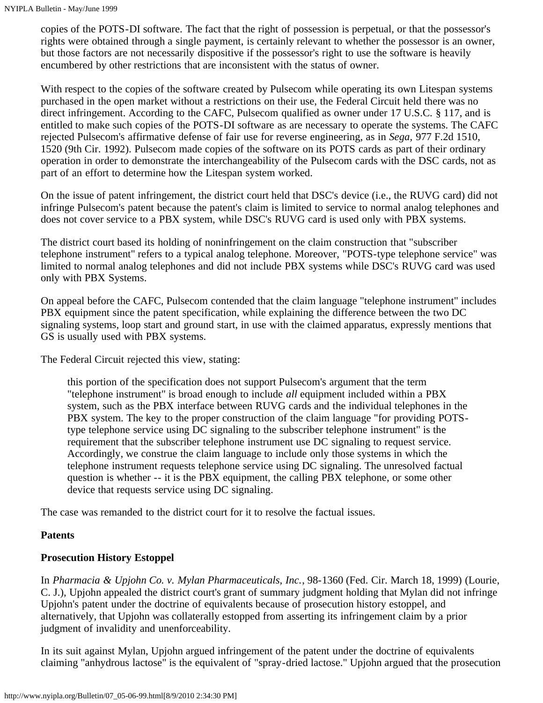copies of the POTS-DI software. The fact that the right of possession is perpetual, or that the possessor's rights were obtained through a single payment, is certainly relevant to whether the possessor is an owner, but those factors are not necessarily dispositive if the possessor's right to use the software is heavily encumbered by other restrictions that are inconsistent with the status of owner.

With respect to the copies of the software created by Pulsecom while operating its own Litespan systems purchased in the open market without a restrictions on their use, the Federal Circuit held there was no direct infringement. According to the CAFC, Pulsecom qualified as owner under 17 U.S.C. § 117, and is entitled to make such copies of the POTS-DI software as are necessary to operate the systems. The CAFC rejected Pulsecom's affirmative defense of fair use for reverse engineering, as in *Sega,* 977 F.2d 1510, 1520 (9th Cir. 1992). Pulsecom made copies of the software on its POTS cards as part of their ordinary operation in order to demonstrate the interchangeability of the Pulsecom cards with the DSC cards, not as part of an effort to determine how the Litespan system worked.

On the issue of patent infringement, the district court held that DSC's device (i.e., the RUVG card) did not infringe Pulsecom's patent because the patent's claim is limited to service to normal analog telephones and does not cover service to a PBX system, while DSC's RUVG card is used only with PBX systems.

The district court based its holding of noninfringement on the claim construction that "subscriber telephone instrument" refers to a typical analog telephone. Moreover, "POTS-type telephone service" was limited to normal analog telephones and did not include PBX systems while DSC's RUVG card was used only with PBX Systems.

On appeal before the CAFC, Pulsecom contended that the claim language "telephone instrument" includes PBX equipment since the patent specification, while explaining the difference between the two DC signaling systems, loop start and ground start, in use with the claimed apparatus, expressly mentions that GS is usually used with PBX systems.

The Federal Circuit rejected this view, stating:

this portion of the specification does not support Pulsecom's argument that the term "telephone instrument" is broad enough to include *all* equipment included within a PBX system, such as the PBX interface between RUVG cards and the individual telephones in the PBX system. The key to the proper construction of the claim language "for providing POTStype telephone service using DC signaling to the subscriber telephone instrument" is the requirement that the subscriber telephone instrument use DC signaling to request service. Accordingly, we construe the claim language to include only those systems in which the telephone instrument requests telephone service using DC signaling. The unresolved factual question is whether -- it is the PBX equipment, the calling PBX telephone, or some other device that requests service using DC signaling.

The case was remanded to the district court for it to resolve the factual issues.

## **Patents**

## **Prosecution History Estoppel**

In *Pharmacia & Upjohn Co. v. Mylan Pharmaceuticals, Inc.*, 98-1360 (Fed. Cir. March 18, 1999) (Lourie, C. J.), Upjohn appealed the district court's grant of summary judgment holding that Mylan did not infringe Upjohn's patent under the doctrine of equivalents because of prosecution history estoppel, and alternatively, that Upjohn was collaterally estopped from asserting its infringement claim by a prior judgment of invalidity and unenforceability.

In its suit against Mylan, Upjohn argued infringement of the patent under the doctrine of equivalents claiming "anhydrous lactose" is the equivalent of "spray-dried lactose." Upjohn argued that the prosecution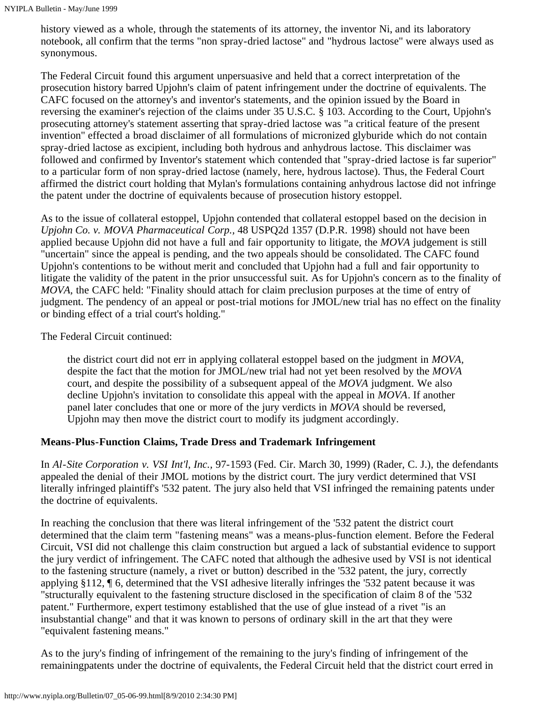history viewed as a whole, through the statements of its attorney, the inventor Ni, and its laboratory notebook, all confirm that the terms "non spray-dried lactose" and "hydrous lactose" were always used as synonymous.

The Federal Circuit found this argument unpersuasive and held that a correct interpretation of the prosecution history barred Upjohn's claim of patent infringement under the doctrine of equivalents. The CAFC focused on the attorney's and inventor's statements, and the opinion issued by the Board in reversing the examiner's rejection of the claims under 35 U.S.C. § 103. According to the Court, Upjohn's prosecuting attorney's statement asserting that spray-dried lactose was "a critical feature of the present invention" effected a broad disclaimer of all formulations of micronized glyburide which do not contain spray-dried lactose as excipient, including both hydrous and anhydrous lactose. This disclaimer was followed and confirmed by Inventor's statement which contended that "spray-dried lactose is far superior" to a particular form of non spray-dried lactose (namely, here, hydrous lactose). Thus, the Federal Court affirmed the district court holding that Mylan's formulations containing anhydrous lactose did not infringe the patent under the doctrine of equivalents because of prosecution history estoppel.

As to the issue of collateral estoppel, Upjohn contended that collateral estoppel based on the decision in *Upjohn Co. v. MOVA Pharmaceutical Corp.,* 48 USPQ2d 1357 (D.P.R. 1998) should not have been applied because Upjohn did not have a full and fair opportunity to litigate, the *MOVA* judgement is still "uncertain" since the appeal is pending, and the two appeals should be consolidated. The CAFC found Upjohn's contentions to be without merit and concluded that Upjohn had a full and fair opportunity to litigate the validity of the patent in the prior unsuccessful suit. As for Upjohn's concern as to the finality of *MOVA,* the CAFC held: "Finality should attach for claim preclusion purposes at the time of entry of judgment. The pendency of an appeal or post-trial motions for JMOL/new trial has no effect on the finality or binding effect of a trial court's holding."

The Federal Circuit continued:

the district court did not err in applying collateral estoppel based on the judgment in *MOVA,* despite the fact that the motion for JMOL/new trial had not yet been resolved by the *MOVA* court, and despite the possibility of a subsequent appeal of the *MOVA* judgment. We also decline Upjohn's invitation to consolidate this appeal with the appeal in *MOVA*. If another panel later concludes that one or more of the jury verdicts in *MOVA* should be reversed, Upjohn may then move the district court to modify its judgment accordingly.

## **Means-Plus-Function Claims, Trade Dress and Trademark Infringement**

In *Al-Site Corporation v. VSI Int'l, Inc.,* 97-1593 (Fed. Cir. March 30, 1999) (Rader, C. J.), the defendants appealed the denial of their JMOL motions by the district court. The jury verdict determined that VSI literally infringed plaintiff's '532 patent. The jury also held that VSI infringed the remaining patents under the doctrine of equivalents.

In reaching the conclusion that there was literal infringement of the '532 patent the district court determined that the claim term "fastening means" was a means-plus-function element. Before the Federal Circuit, VSI did not challenge this claim construction but argued a lack of substantial evidence to support the jury verdict of infringement. The CAFC noted that although the adhesive used by VSI is not identical to the fastening structure (namely, a rivet or button) described in the '532 patent, the jury, correctly applying §112, ¶ 6, determined that the VSI adhesive literally infringes the '532 patent because it was "structurally equivalent to the fastening structure disclosed in the specification of claim 8 of the '532 patent." Furthermore, expert testimony established that the use of glue instead of a rivet "is an insubstantial change" and that it was known to persons of ordinary skill in the art that they were "equivalent fastening means."

As to the jury's finding of infringement of the remaining to the jury's finding of infringement of the remainingpatents under the doctrine of equivalents, the Federal Circuit held that the district court erred in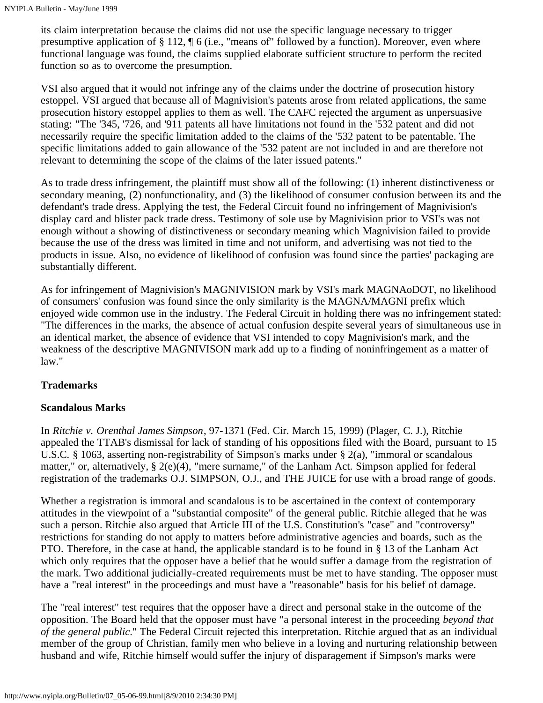its claim interpretation because the claims did not use the specific language necessary to trigger presumptive application of § 112, ¶ 6 (i.e., "means of" followed by a function). Moreover, even where functional language was found, the claims supplied elaborate sufficient structure to perform the recited function so as to overcome the presumption.

VSI also argued that it would not infringe any of the claims under the doctrine of prosecution history estoppel. VSI argued that because all of Magnivision's patents arose from related applications, the same prosecution history estoppel applies to them as well. The CAFC rejected the argument as unpersuasive stating: "The '345, '726, and '911 patents all have limitations not found in the '532 patent and did not necessarily require the specific limitation added to the claims of the '532 patent to be patentable. The specific limitations added to gain allowance of the '532 patent are not included in and are therefore not relevant to determining the scope of the claims of the later issued patents."

As to trade dress infringement, the plaintiff must show all of the following: (1) inherent distinctiveness or secondary meaning, (2) nonfunctionality, and (3) the likelihood of consumer confusion between its and the defendant's trade dress. Applying the test, the Federal Circuit found no infringement of Magnivision's display card and blister pack trade dress. Testimony of sole use by Magnivision prior to VSI's was not enough without a showing of distinctiveness or secondary meaning which Magnivision failed to provide because the use of the dress was limited in time and not uniform, and advertising was not tied to the products in issue. Also, no evidence of likelihood of confusion was found since the parties' packaging are substantially different.

As for infringement of Magnivision's MAGNIVISION mark by VSI's mark MAGNAoDOT, no likelihood of consumers' confusion was found since the only similarity is the MAGNA/MAGNI prefix which enjoyed wide common use in the industry. The Federal Circuit in holding there was no infringement stated: "The differences in the marks, the absence of actual confusion despite several years of simultaneous use in an identical market, the absence of evidence that VSI intended to copy Magnivision's mark, and the weakness of the descriptive MAGNIVISON mark add up to a finding of noninfringement as a matter of law."

## **Trademarks**

## **Scandalous Marks**

In *Ritchie v. Orenthal James Simpson*, 97-1371 (Fed. Cir. March 15, 1999) (Plager, C. J.), Ritchie appealed the TTAB's dismissal for lack of standing of his oppositions filed with the Board, pursuant to 15 U.S.C. § 1063, asserting non-registrability of Simpson's marks under § 2(a), "immoral or scandalous matter," or, alternatively, § 2(e)(4), "mere surname," of the Lanham Act. Simpson applied for federal registration of the trademarks O.J. SIMPSON, O.J., and THE JUICE for use with a broad range of goods.

Whether a registration is immoral and scandalous is to be ascertained in the context of contemporary attitudes in the viewpoint of a "substantial composite" of the general public. Ritchie alleged that he was such a person. Ritchie also argued that Article III of the U.S. Constitution's "case" and "controversy" restrictions for standing do not apply to matters before administrative agencies and boards, such as the PTO. Therefore, in the case at hand, the applicable standard is to be found in § 13 of the Lanham Act which only requires that the opposer have a belief that he would suffer a damage from the registration of the mark. Two additional judicially-created requirements must be met to have standing. The opposer must have a "real interest" in the proceedings and must have a "reasonable" basis for his belief of damage.

The "real interest" test requires that the opposer have a direct and personal stake in the outcome of the opposition. The Board held that the opposer must have "a personal interest in the proceeding *beyond that of the general public*." The Federal Circuit rejected this interpretation. Ritchie argued that as an individual member of the group of Christian, family men who believe in a loving and nurturing relationship between husband and wife, Ritchie himself would suffer the injury of disparagement if Simpson's marks were